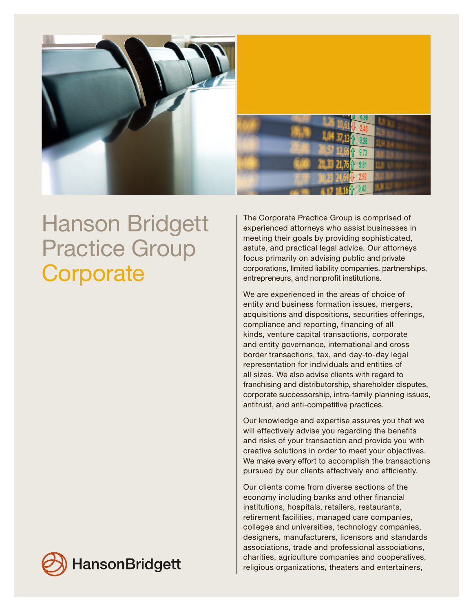

# Hanson Bridgett Practice Group **Corporate**

The Corporate Practice Group is comprised of experienced attorneys who assist businesses in meeting their goals by providing sophisticated, astute, and practical legal advice. Our attorneys focus primarily on advising public and private corporations, limited liability companies, partnerships, entrepreneurs, and nonprofit institutions.

We are experienced in the areas of choice of entity and business formation issues, mergers, acquisitions and dispositions, securities offerings, compliance and reporting, financing of all kinds, venture capital transactions, corporate and entity governance, international and cross border transactions, tax, and day-to-day legal representation for individuals and entities of all sizes. We also advise clients with regard to franchising and distributorship, shareholder disputes, corporate successorship, intra-family planning issues, antitrust, and anti-competitive practices.

Our knowledge and expertise assures you that we will effectively advise you regarding the benefits and risks of your transaction and provide you with creative solutions in order to meet your objectives. We make every effort to accomplish the transactions pursued by our clients effectively and efficiently.

Our clients come from diverse sections of the economy including banks and other financial institutions, hospitals, retailers, restaurants, retirement facilities, managed care companies, colleges and universities, technology companies, designers, manufacturers, licensors and standards associations, trade and professional associations, charities, agriculture companies and cooperatives, religious organizations, theaters and entertainers,

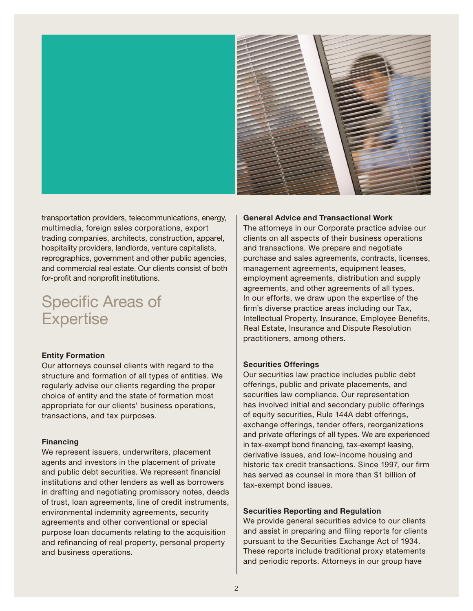

transportation providers, telecommunications, energy, multimedia, foreign sales corporations, export trading companies, architects, construction, apparel, hospitality providers, landlords, venture capitalists, reprographics, government and other public agencies, and commercial real estate. Our clients consist of both for-profit and nonprofit institutions.

# Specific Areas of **Expertise**

# Entity Formation

Our attorneys counsel clients with regard to the structure and formation of all types of entities. We regularly advise our clients regarding the proper choice of entity and the state of formation most appropriate for our clients' business operations, transactions, and tax purposes.

# Financing

We represent issuers, underwriters, placement agents and investors in the placement of private and public debt securities. We represent financial institutions and other lenders as well as borrowers in drafting and negotiating promissory notes, deeds of trust, loan agreements, line of credit instruments, environmental indemnity agreements, security agreements and other conventional or special purpose loan documents relating to the acquisition and refinancing of real property, personal property and business operations.

# General Advice and Transactional Work

The attorneys in our Corporate practice advise our clients on all aspects of their business operations and transactions. We prepare and negotiate purchase and sales agreements, contracts, licenses, management agreements, equipment leases, employment agreements, distribution and supply agreements, and other agreements of all types. In our efforts, we draw upon the expertise of the firm's diverse practice areas including our Tax, Intellectual Property, Insurance, Employee Benefits, Real Estate, Insurance and Dispute Resolution practitioners, among others.

# Securities Offerings

Our securities law practice includes public debt offerings, public and private placements, and securities law compliance. Our representation has involved initial and secondary public offerings of equity securities, Rule 144A debt offerings, exchange offerings, tender offers, reorganizations and private offerings of all types. We are experienced in tax-exempt bond financing, tax-exempt leasing, derivative issues, and low-income housing and historic tax credit transactions. Since 1997, our firm has served as counsel in more than \$1 billion of tax-exempt bond issues.

#### Securities Reporting and Regulation

We provide general securities advice to our clients and assist in preparing and filing reports for clients pursuant to the Securities Exchange Act of 1934. These reports include traditional proxy statements and periodic reports. Attorneys in our group have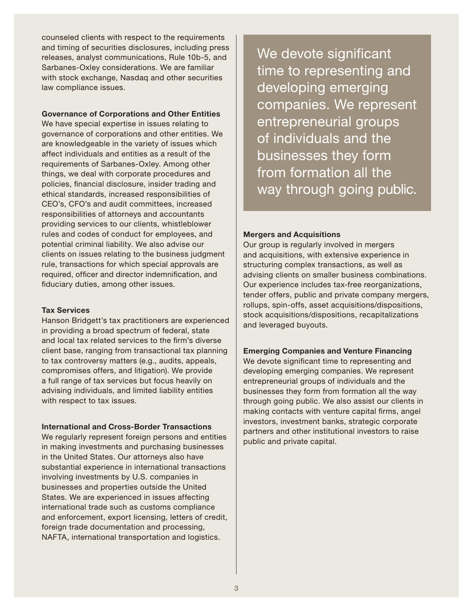counseled clients with respect to the requirements and timing of securities disclosures, including press releases, analyst communications, Rule 10b-5, and Sarbanes-Oxley considerations. We are familiar with stock exchange, Nasdaq and other securities law compliance issues.

# Governance of Corporations and Other Entities

We have special expertise in issues relating to governance of corporations and other entities. We are knowledgeable in the variety of issues which affect individuals and entities as a result of the requirements of Sarbanes-Oxley. Among other things, we deal with corporate procedures and policies, financial disclosure, insider trading and ethical standards, increased responsibilities of CEO's, CFO's and audit committees, increased responsibilities of attorneys and accountants providing services to our clients, whistleblower rules and codes of conduct for employees, and potential criminal liability. We also advise our clients on issues relating to the business judgment rule, transactions for which special approvals are required, officer and director indemnification, and fiduciary duties, among other issues.

# Tax Services

Hanson Bridgett's tax practitioners are experienced in providing a broad spectrum of federal, state and local tax related services to the firm's diverse client base, ranging from transactional tax planning to tax controversy matters (e.g., audits, appeals, compromises offers, and litigation). We provide a full range of tax services but focus heavily on advising individuals, and limited liability entities with respect to tax issues.

# International and Cross-Border Transactions

We regularly represent foreign persons and entities in making investments and purchasing businesses in the United States. Our attorneys also have substantial experience in international transactions involving investments by U.S. companies in businesses and properties outside the United States. We are experienced in issues affecting international trade such as customs compliance and enforcement, export licensing, letters of credit, foreign trade documentation and processing, NAFTA, international transportation and logistics.

We devote significant time to representing and developing emerging companies. We represent entrepreneurial groups of individuals and the businesses they form from formation all the way through going public.

# Mergers and Acquisitions

Our group is regularly involved in mergers and acquisitions, with extensive experience in structuring complex transactions, as well as advising clients on smaller business combinations. Our experience includes tax-free reorganizations, tender offers, public and private company mergers, rollups, spin-offs, asset acquisitions/dispositions, stock acquisitions/dispositions, recapitalizations and leveraged buyouts.

# Emerging Companies and Venture Financing

We devote significant time to representing and developing emerging companies. We represent entrepreneurial groups of individuals and the businesses they form from formation all the way through going public. We also assist our clients in making contacts with venture capital firms, angel investors, investment banks, strategic corporate partners and other institutional investors to raise public and private capital.